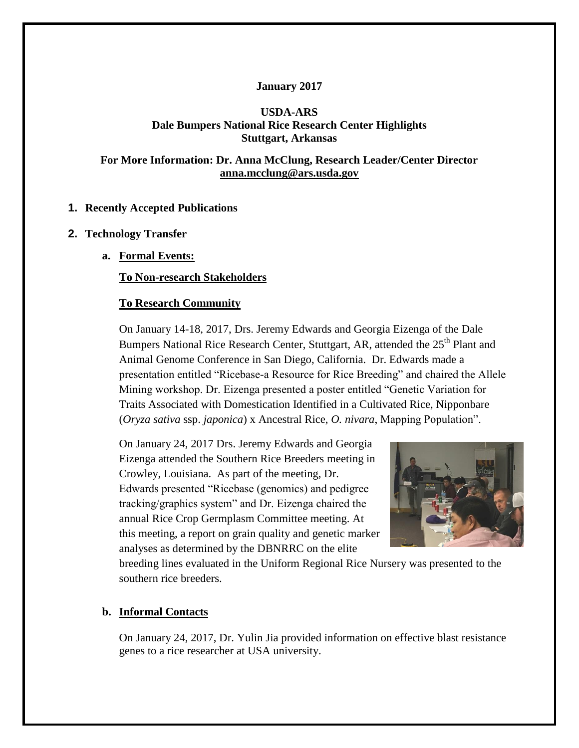## **January 2017**

# **USDA-ARS Dale Bumpers National Rice Research Center Highlights Stuttgart, Arkansas**

# **For More Information: Dr. Anna McClung, Research Leader/Center Director [anna.mcclung@ars.usda.gov](mailto:anna.mcclung@ars.usda.gov)**

# **1. Recently Accepted Publications**

## **2. Technology Transfer**

**a. Formal Events:**

## **To Non-research Stakeholders**

## **To Research Community**

On January 14-18, 2017, Drs. Jeremy Edwards and Georgia Eizenga of the Dale Bumpers National Rice Research Center, Stuttgart, AR, attended the 25<sup>th</sup> Plant and Animal Genome Conference in San Diego, California. Dr. Edwards made a presentation entitled "Ricebase-a Resource for Rice Breeding" and chaired the Allele Mining workshop. Dr. Eizenga presented a poster entitled "Genetic Variation for Traits Associated with Domestication Identified in a Cultivated Rice, Nipponbare (*Oryza sativa* ssp. *japonica*) x Ancestral Rice, *O. nivara*, Mapping Population".

On January 24, 2017 Drs. Jeremy Edwards and Georgia Eizenga attended the Southern Rice Breeders meeting in Crowley, Louisiana. As part of the meeting, Dr. Edwards presented "Ricebase (genomics) and pedigree tracking/graphics system" and Dr. Eizenga chaired the annual Rice Crop Germplasm Committee meeting. At this meeting, a report on grain quality and genetic marker analyses as determined by the DBNRRC on the elite



breeding lines evaluated in the Uniform Regional Rice Nursery was presented to the southern rice breeders.

## **b. Informal Contacts**

On January 24, 2017, Dr. Yulin Jia provided information on effective blast resistance genes to a rice researcher at USA university.